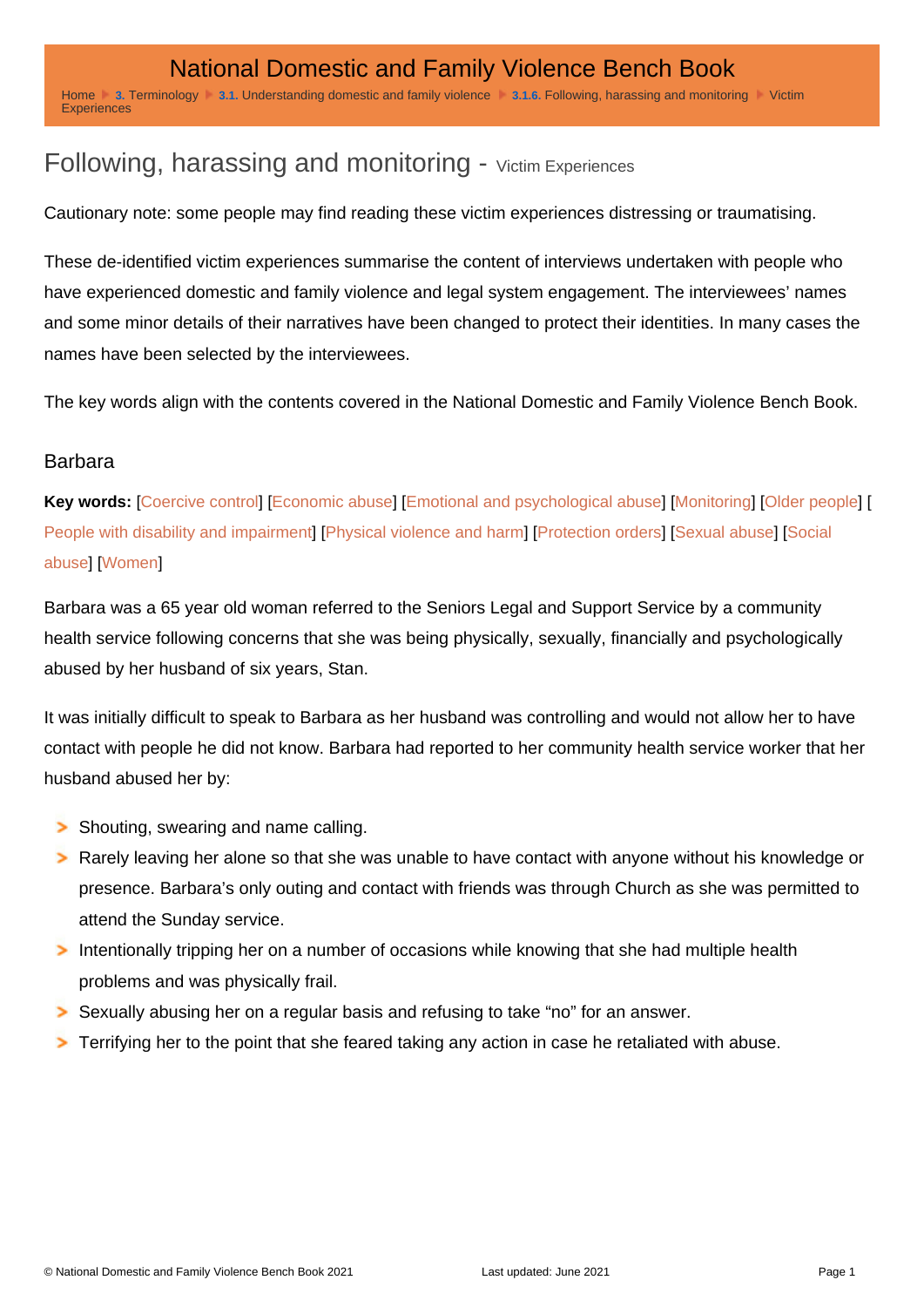## Following, harassing and monitoring - Victim Experiences

Cautionary note: some people may find reading these victim experiences distressing or traumatising.

These de-identified victim experiences summarise the content of interviews undertaken with people who have experienced domestic and family violence and legal system engagement. The interviewees' names and some minor details of their narratives have been changed to protect their identities. In many cases the names have been selected by the interviewees.

The key words align with the contents covered in the National Domestic and Family Violence Bench Book.

## Barbara

Key words: [[Coercive control\]](http://dfvbenchbook.aija.org.au/terminology/coercive-control) [\[Economic abuse](http://dfvbenchbook.aija.org.au/understanding-domestic-and-family-violence/economic-abuse)] [[Emotional and psychological abuse](http://dfvbenchbook.aija.org.au/understanding-domestic-and-family-violence/emotional-and-psychological-abuse)] [\[Monitoring](http://dfvbenchbook.aija.org.au/understanding-domestic-and-family-violence/following-harassing-and-monitoring)] [[Older people\]](http://dfvbenchbook.aija.org.au/vulnerable-groups/older-people) [ [People with disability and impairment](http://dfvbenchbook.aija.org.au/vulnerable-groups/people-with-disability-and-impairment)] [[Physical violence and harm\]](http://dfvbenchbook.aija.org.au/understanding-domestic-and-family-violence/physical-violence-and-harm) [\[Protection orders](http://dfvbenchbook.aija.org.au/protection-orders)] [\[Sexual abuse\]](http://dfvbenchbook.aija.org.au/understanding-domestic-and-family-violence/sexual-and-reproductive-abuse) [\[Social](http://dfvbenchbook.aija.org.au/understanding-domestic-and-family-violence/social-abuse)  [abuse\]](http://dfvbenchbook.aija.org.au/understanding-domestic-and-family-violence/social-abuse) [[Women\]](http://dfvbenchbook.aija.org.au/vulnerable-groups/women)

Barbara was a 65 year old woman referred to the Seniors Legal and Support Service by a community health service following concerns that she was being physically, sexually, financially and psychologically abused by her husband of six years, Stan.

It was initially difficult to speak to Barbara as her husband was controlling and would not allow her to have contact with people he did not know. Barbara had reported to her community health service worker that her husband abused her by:

Shouting, swearing and name calling.

- Rarely leaving her alone so that she was unable to have contact with anyone without his knowledge or presence. Barbara's only outing and contact with friends was through Church as she was permitted to attend the Sunday service.
- Intentionally tripping her on a number of occasions while knowing that she had multiple health problems and was physically frail.
- Sexually abusing her on a regular basis and refusing to take "no" for an answer.
- Terrifying her to the point that she feared taking any action in case he retaliated with abuse.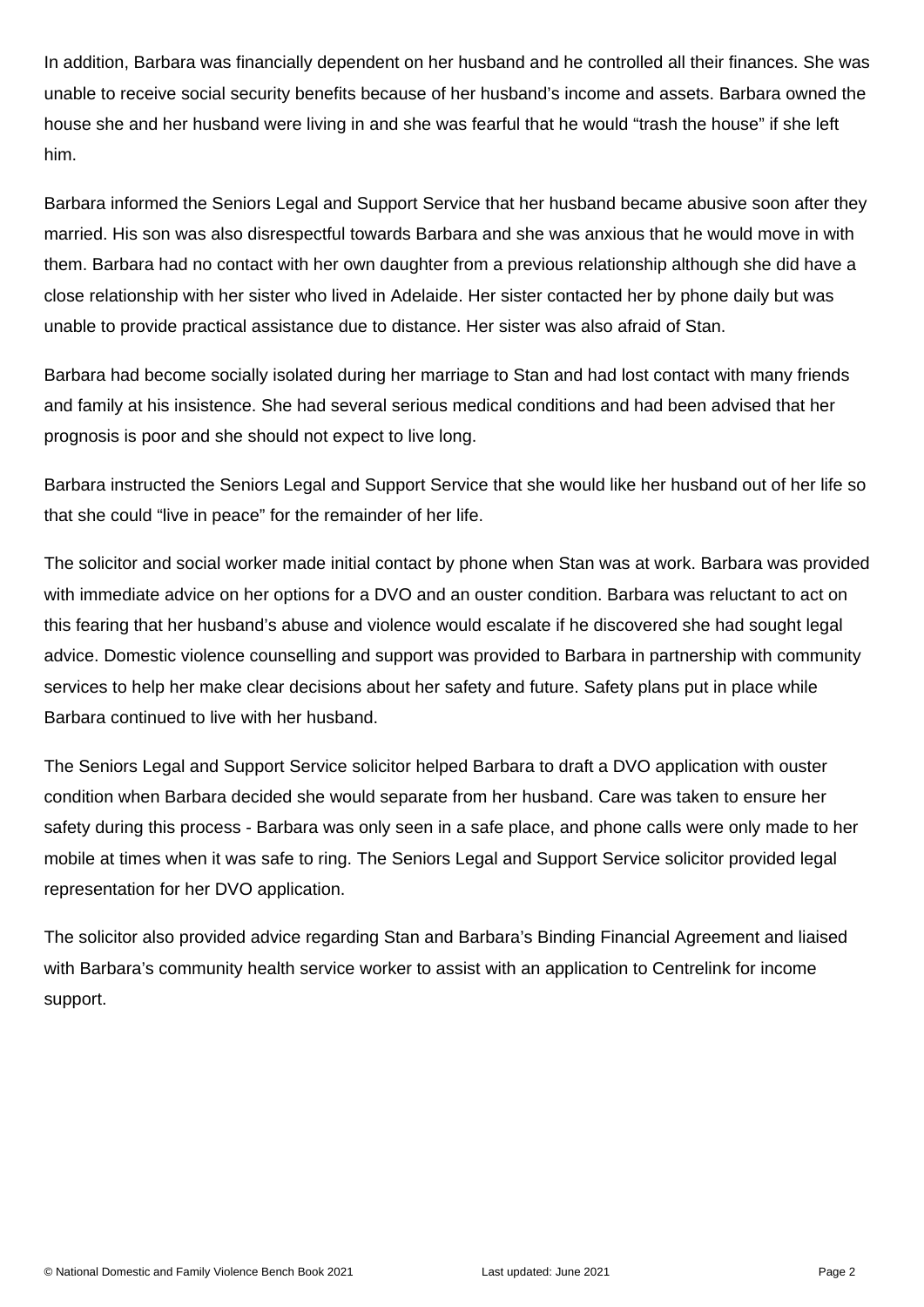In addition, Barbara was financially dependent on her husband and he controlled all their finances. She was unable to receive social security benefits because of her husband's income and assets. Barbara owned the house she and her husband were living in and she was fearful that he would "trash the house" if she left him.

Barbara informed the Seniors Legal and Support Service that her husband became abusive soon after they married. His son was also disrespectful towards Barbara and she was anxious that he would move in with them. Barbara had no contact with her own daughter from a previous relationship although she did have a close relationship with her sister who lived in Adelaide. Her sister contacted her by phone daily but was unable to provide practical assistance due to distance. Her sister was also afraid of Stan.

Barbara had become socially isolated during her marriage to Stan and had lost contact with many friends and family at his insistence. She had several serious medical conditions and had been advised that her prognosis is poor and she should not expect to live long.

Barbara instructed the Seniors Legal and Support Service that she would like her husband out of her life so that she could "live in peace" for the remainder of her life.

The solicitor and social worker made initial contact by phone when Stan was at work. Barbara was provided with immediate advice on her options for a DVO and an ouster condition. Barbara was reluctant to act on this fearing that her husband's abuse and violence would escalate if he discovered she had sought legal advice. Domestic violence counselling and support was provided to Barbara in partnership with community services to help her make clear decisions about her safety and future. Safety plans put in place while Barbara continued to live with her husband.

The Seniors Legal and Support Service solicitor helped Barbara to draft a DVO application with ouster condition when Barbara decided she would separate from her husband. Care was taken to ensure her safety during this process - Barbara was only seen in a safe place, and phone calls were only made to her mobile at times when it was safe to ring. The Seniors Legal and Support Service solicitor provided legal representation for her DVO application.

The solicitor also provided advice regarding Stan and Barbara's Binding Financial Agreement and liaised with Barbara's community health service worker to assist with an application to Centrelink for income support.